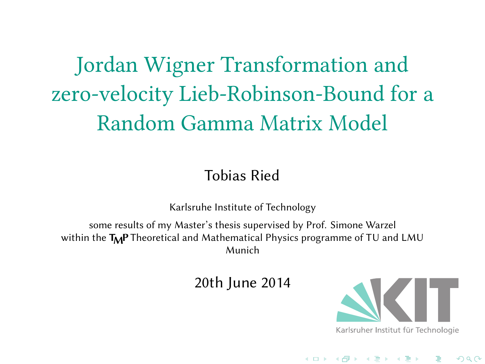# Jordan Wigner Transformation and zero-velocity Lieb-Robinson-Bound for a Random Gamma Matrix Model

Tobias Ried

Karlsruhe Institute of Technology

some results of my Master's thesis supervised by Prof. Simone Warzel within the  $\textsf{T}_\textsf{M}\textsf{P}$  Theoretical and Mathematical Physics programme of TU and LMU Munich

20th June 2014



. . . . . . . . . . . . . . . . . . . . . . . . . . . . . . . . . . . . . . .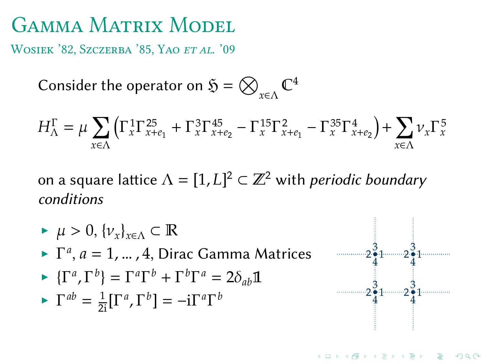WOSIEK '82, SZCZERBA '85, YAO ET AL. '09

Consider the operator on  $\mathfrak{H}=\bigotimes_{\chi\in\Lambda}\mathbb{C}^4$ 

$$
H^{\Gamma}_{\Lambda}=\mu\sum_{x\in\Lambda}\left(\Gamma^1_x\Gamma^{25}_{x+e_1}+\Gamma^3_x\Gamma^{45}_{x+e_2}-\Gamma^{15}_x\Gamma^2_{x+e_1}-\Gamma^{35}_x\Gamma^4_{x+e_2}\right)+\sum_{x\in\Lambda}\nu_x\Gamma^5_x
$$

on a square lattice  $\Lambda = [1, L]^2 \subset \mathbb{Z}^2$  with *periodic boundary* conditions

- $\blacktriangleright \mu > 0, \{\nu_x\}_{x \in \Lambda} \subset \mathbb{R}$
- $\blacktriangleright \Gamma^a, a = 1, \dots, 4$ , Dirac Gamma Matrices
- $\blacktriangleright \{\Gamma^a,\Gamma^b\} = \Gamma^a\Gamma^b + \Gamma^b\Gamma^a = 2\delta_{ab}\mathbb{1}$
- $\Gamma^{ab} = \frac{1}{2i} [\Gamma^a, \Gamma^b] = -i \Gamma^a \Gamma^b$

4

4

 $2\frac{3}{4}1$  $\frac{3}{4}$ 1  $\frac{3}{4}$ 1

 $2\frac{3}{4}1$  $\frac{3}{4}$ 1  $-2\frac{3}{4}$ 1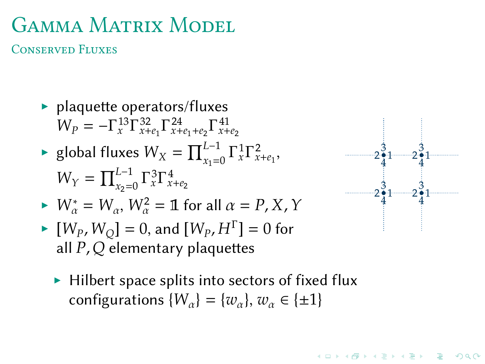CONSERVED FLUXES

- $\blacktriangleright$  plaquette operators/fluxes  $W_p = -\Gamma_x^{13} \Gamma_{x+e_1}^{32} \Gamma_{x+e_1+e_2}^{24} \Gamma_{x+e_2}^{41}$
- ► global fluxes  $W_X = \prod_{x_1=0}^{L-1} \Gamma_x^1 \Gamma_{x+e_1}^2$ ,  $W_Y = \prod_{x_2=0}^{L-1} \Gamma_x^3 \Gamma_{x+e_2}^4$
- $W^*_{\alpha} = W_{\alpha}, W^2_{\alpha} = \mathbb{1}$  for all  $\alpha = P, X, Y$
- $\blacktriangleright [W_P, W_Q] = 0$ , and  $[W_P, H^{\Gamma}] = 0$  for all  $P$ ,  $Q$  elementary plaquettes
	- ▶ Hilbert space splits into sectors of fixed flux configurations  $\{W_{\alpha}\} = \{w_{\alpha}\}\text{, } w_{\alpha} \in \{\pm 1\}$

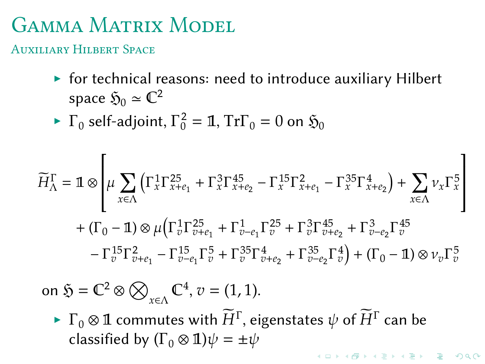AUXILIARY HILBERT SPACE

- ▶ for technical reasons: need to introduce auxiliary Hilbert space  $\mathfrak{H}_0 \simeq \mathbb{C}^2$
- $\blacktriangleright$   $\Gamma_0$  self-adjoint,  $\Gamma_0^2 = \mathbb{1}$ ,  $\mathrm{Tr} \Gamma_0 = 0$  on  $\mathfrak{H}_0$

$$
\widetilde{H}_{\Lambda}^{\Gamma} = \mathbb{1} \otimes \left[ \mu \sum_{x \in \Lambda} \left( \Gamma_{x}^{1} \Gamma_{x+e_{1}}^{25} + \Gamma_{x}^{3} \Gamma_{x+e_{2}}^{45} - \Gamma_{x}^{15} \Gamma_{x+e_{1}}^{2} - \Gamma_{x}^{35} \Gamma_{x+e_{2}}^{4} \right) + \sum_{x \in \Lambda} \nu_{x} \Gamma_{x}^{5} \right] \n+ (\Gamma_{0} - \mathbb{1}) \otimes \mu \left( \Gamma_{v}^{1} \Gamma_{v+e_{1}}^{25} + \Gamma_{v-e_{1}}^{1} \Gamma_{v}^{25} + \Gamma_{v}^{3} \Gamma_{v+e_{2}}^{45} + \Gamma_{v-e_{2}}^{3} \Gamma_{v}^{45} - \Gamma_{v}^{15} \Gamma_{v+e_{1}}^{2} - \Gamma_{v-e_{1}}^{15} \Gamma_{v}^{5} + \Gamma_{v}^{35} \Gamma_{v+e_{2}}^{4} + \Gamma_{v-e_{2}}^{35} \Gamma_{v}^{4} \right) + (\Gamma_{0} - \mathbb{1}) \otimes \nu_{v} \Gamma_{v}^{5}
$$

on  $\mathfrak{H} = \mathbb{C}^2 \otimes \bigotimes_{x \in \Lambda} \mathbb{C}^4$ ,  $v = (1, 1)$ .

 $\blacktriangleright~\Gamma_0\otimes\mathbb{1}$  commutes with  $\widetilde{H}^\Gamma$ , eigenstates  $\psi$  of  $\widetilde{H}^\Gamma$  can be classified by  $(\Gamma_0 \otimes \mathbb{1}) \psi = \pm \psi$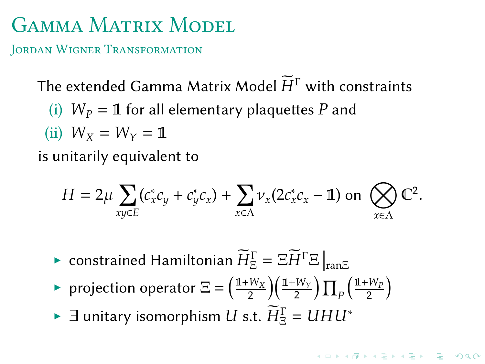JORDAN WIGNER TRANSFORMATION

The extended Gamma Matrix Model  $\widetilde{H}^{\Gamma}$  with constraints

(i)  $W_p = 1$  for all elementary plaquettes P and

(ii) 
$$
W_X = W_Y = 1
$$

is unitarily equivalent to

$$
H = 2\mu \sum_{xy \in E} (c_x^* c_y + c_y^* c_x) + \sum_{x \in \Lambda} \nu_x (2c_x^* c_x - \mathbb{1})
$$
 on  $\bigotimes_{x \in \Lambda} \mathbb{C}^2$ .

- $\blacktriangleright$  constrained Hamiltonian  $\widetilde{H}^{\Gamma}_{\Xi}=\Xi \widetilde{H}^{\Gamma}\Xi\left|_{\mathrm{ran}\Xi}\right.$
- ▶ projection operator  $\Xi = \left(\frac{\rm 11+W_X}{2}\right)$  $\frac{W_X}{2}\Big)\!\Big(\frac{\mathrm{1+W}_Y}{2}\Big) \prod_P \!\Big(\frac{\mathrm{1+W}_P}{2}$  $\frac{W_P}{2}$
- $\blacktriangleright$   $\exists$  unitary isomorphism  $U$  s.t.  $\widetilde{H}^{\Gamma}_{\Xi} = U H U^*$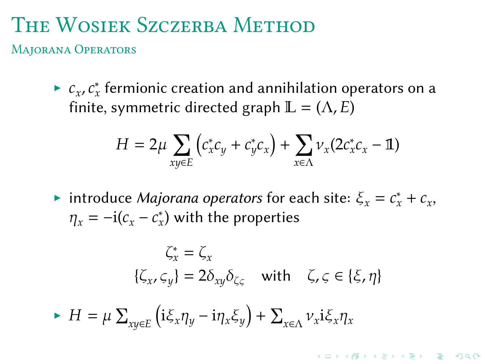MAJORANA OPERATORS

►  $c_x$ ,  $c_x^*$  fermionic creation and annihilation operators on a finite, symmetric directed graph  $\mathbb{L} = (\Lambda, E)$ 

$$
H = 2\mu \sum_{xy \in E} \left( c_x^* c_y + c_y^* c_x \right) + \sum_{x \in \Lambda} \nu_x (2c_x^* c_x - \mathbb{1})
$$

▶ introduce *Majorana operators* for each site:  $\xi_x = c_x^* + c_x$ ,  $\eta_x = -i(c_x - c_x^*)$  with the properties

$$
\zeta_x^* = \zeta_x
$$
  

$$
\{\zeta_x, \zeta_y\} = 2\delta_{xy}\delta_{\zeta\varsigma} \text{ with } \zeta, \varsigma \in \{\xi, \eta\}
$$

$$
\blacktriangleright H = \mu \sum_{xy \in E} \left( i \xi_x \eta_y - i \eta_x \xi_y \right) + \sum_{x \in \Lambda} \nu_x i \xi_x \eta_x
$$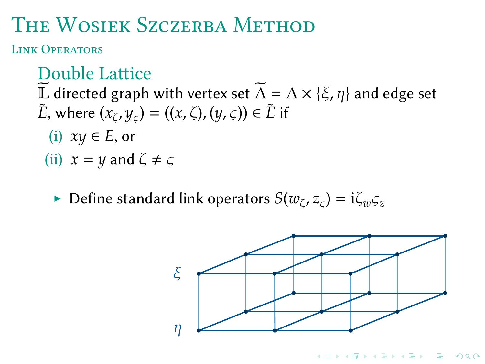LINK OPERATORS

#### Double Lattice

 $\widetilde{\mathbb{L}}$  directed graph with vertex set  $\widetilde{\Lambda} = \Lambda \times \{\xi,\eta\}$  and edge set  $\tilde{E}$ , where  $(x_{\zeta}, y_{\zeta}) = ((x, \zeta), (y, \zeta)) \in \tilde{E}$  if

(i)  $xy \in E$ , or

(ii)  $x = y$  and  $\zeta \neq \zeta$ 

 $\blacktriangleright$  Define standard link operators  $S(w_\zeta,z_\zeta) = \mathrm{i} \zeta_w \zeta_z$ 

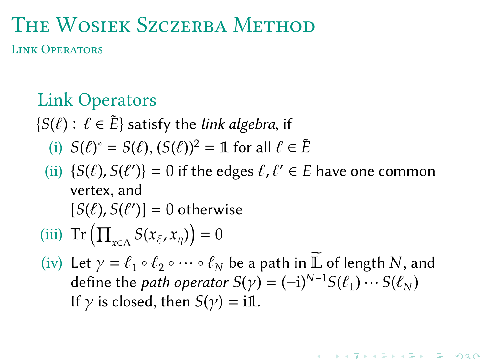LINK OPERATORS

#### Link Operators

 ${S(\ell): \ell \in \tilde{E}}$  satisfy the *link algebra*, if

- (i)  $S(\ell)^* = S(\ell), (S(\ell))^2 = \mathbb{1}$  for all  $\ell \in \tilde{E}$
- (ii)  $\{S(\ell), S(\ell')\} = 0$  if the edges  $\ell, \ell' \in E$  have one common vertex, and  $[S(\ell), S(\ell')] = 0$  otherwise
- (iii)  $\text{Tr}\left(\prod_{x \in \Lambda} S(x_{\xi}, x_{\eta})\right) = 0$
- (iv) Let  $\gamma = \ell_1 \circ \ell_2 \circ \cdots \circ \ell_N$  be a path in  $\widetilde{\mathbb{L}}$  of length  $N$ , and define the *path operator*  $S(\gamma) = (-i)^{N-1} S(\ell_1) \cdots S(\ell_N)$ If  $\gamma$  is closed, then  $S(\gamma) = i\mathbb{1}$ .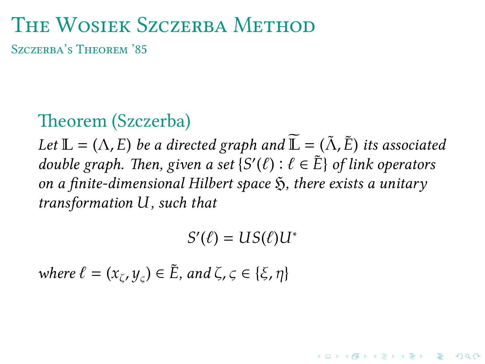SZCZERBA'S THEOREM '85

#### Theorem (Szczerba)

*Let*  $\mathbb{L} = (\Lambda, E)$  *be a directed graph and*  $\widetilde{\mathbb{L}} = (\widetilde{\Lambda}, \widetilde{E})$  *its associated double graph. Then, given a set*  ${S'(\ell) : \ell \in \tilde{E}}$  *of link operators on a finite-dimensional Hilbert space* ℌ*, there exists a unitary*  $transformation$ *U*, such that

 $S'(\ell) = US(\ell)U^*$ 

*where*  $\ell = (x_{\zeta}, y_{\zeta}) \in \tilde{E}$ , and  $\zeta, \zeta \in {\xi, \eta}$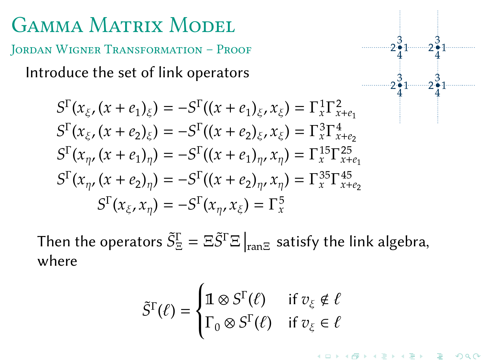JORDAN WIGNER TRANSFORMATION - PROOF

Introduce the set of link operators

$$
S^{\Gamma}(x_{\xi}, (x + e_1)_{\xi}) = -S^{\Gamma}((x + e_1)_{\xi}, x_{\xi}) = \Gamma_x^1 \Gamma_{x + e_1}^2
$$
  
\n
$$
S^{\Gamma}(x_{\xi}, (x + e_2)_{\xi}) = -S^{\Gamma}((x + e_2)_{\xi}, x_{\xi}) = \Gamma_x^3 \Gamma_{x + e_2}^4
$$
  
\n
$$
S^{\Gamma}(x_{\eta}, (x + e_1)_{\eta}) = -S^{\Gamma}((x + e_1)_{\eta}, x_{\eta}) = \Gamma_x^{15} \Gamma_{x + e_1}^{25}
$$
  
\n
$$
S^{\Gamma}(x_{\eta}, (x + e_2)_{\eta}) = -S^{\Gamma}((x + e_2)_{\eta}, x_{\eta}) = \Gamma_x^{35} \Gamma_{x + e_2}^{45}
$$
  
\n
$$
S^{\Gamma}(x_{\xi}, x_{\eta}) = -S^{\Gamma}(x_{\eta}, x_{\xi}) = \Gamma_x^5
$$

Then the operators  $\tilde{S}^\Gamma_\Xi=\Xi\tilde{S}^\Gamma\Xi\left|_{\text{ran}\Xi}\right.$  satisfy the link algebra, where

$$
\tilde{S}^{\Gamma}(\ell) = \begin{cases} \mathbb{1} \otimes S^{\Gamma}(\ell) & \text{if } v_{\xi} \notin \ell \\ \Gamma_0 \otimes S^{\Gamma}(\ell) & \text{if } v_{\xi} \in \ell \end{cases}
$$

 $2\frac{3}{4}1$ 4

 $2\frac{3}{4}1$ 4

 $2\frac{3}{4}1$ 4

 $2\frac{3}{4}1$ 4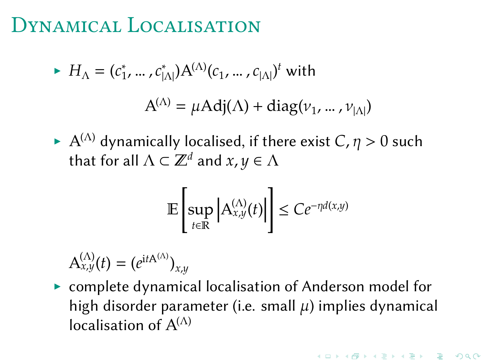#### DYNAMICAL LOCALISATION

 $\blacktriangleright H_{\Lambda} = (c_1^*, \dots, c_{|\Lambda|}^*) A^{(\Lambda)}(c_1, \dots, c_{|\Lambda|})^t$  with

$$
A^{(\Lambda)} = \mu \text{Adj}(\Lambda) + \text{diag}(\nu_1, \dots, \nu_{|\Lambda|})
$$

 $\blacktriangleright$   $\mathrm{A}^{(\Lambda)}$  dynamically localised, if there exist  $C$ ,  $\eta > 0$  such that for all  $\Lambda \subset \mathbb{Z}^d$  and  $x,y \in \Lambda$ 

$$
\mathbb{E}\left[\sup_{t\in\mathbb{R}}\left|A_{x,y}^{(\Lambda)}(t)\right|\right]\le Ce^{-\eta d(x,y)}
$$

 $A_{x,y}^{(\Lambda)}(t) = (e^{itA^{(\Lambda)}})_{x,y}$ 

▶ complete dynamical localisation of Anderson model for high disorder parameter (i.e. small  $\mu$ ) implies dynamical localisation of  $A^{(\Lambda)}$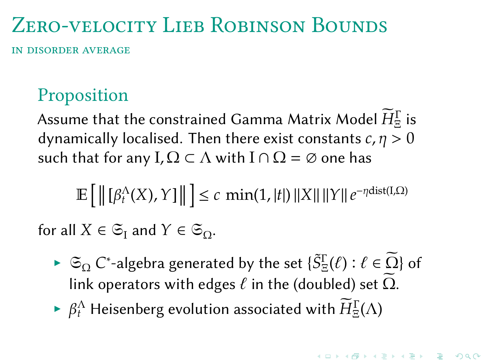# ZERO-VELOCITY LIEB ROBINSON BOUNDS

IN DISORDER AVERAGE

#### Proposition

Assume that the constrained Gamma Matrix Model  $\widetilde{H}^{\Gamma}_{\Xi}$  is dynamically localised. Then there exist constants  $c, \eta > 0$ such that for any  $I, \Omega \subset \Lambda$  with  $I \cap \Omega = \emptyset$  one has

 $\mathbb{E}\big[\left\|\left[\beta_t^{\Lambda}(X),Y\right]\right\|\big] \leq c\, \min(1,|t|)\, \|X\|\, \|Y\| \, e^{-\eta {\rm dist}(I,\Omega)}$ 

for all  $X \in \mathfrak{S}_{\mathrm{I}}$  and  $Y \in \mathfrak{S}_{\mathrm{Q}}$ .

- ►  $\mathfrak{S}_{\Omega}$  C\*-algebra generated by the set  $\{ \tilde{S}^\Gamma_\Xi(\ell) : \ell \in \widetilde{\Omega} \}$  of link operators with edges  $\ell$  in the (doubled) set  $\widetilde{\Omega}$ .
- $\blacktriangleright \ \beta_t^{\Lambda}$  Heisenberg evolution associated with  $\widetilde{H}^{\Gamma}_\Xi(\Lambda)$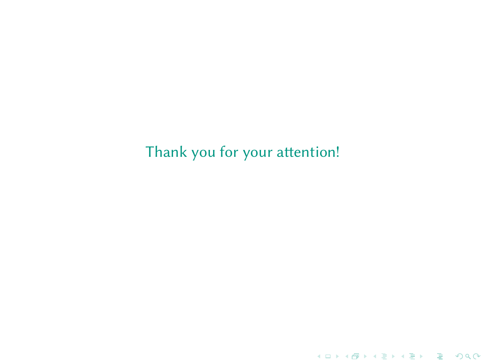Thank you for your attention!